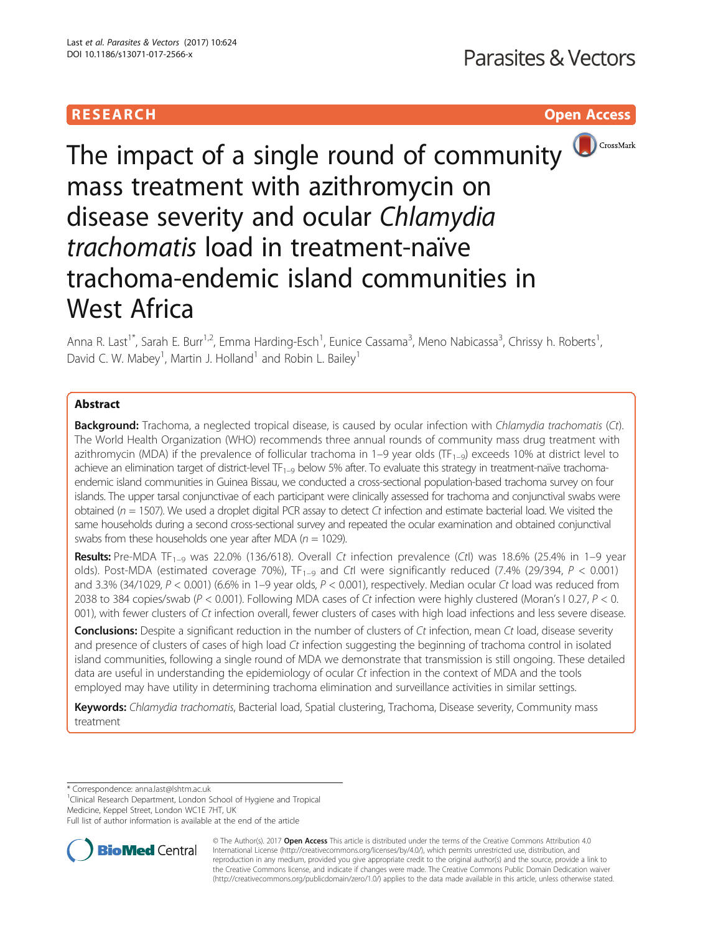# **RESEARCH CHE Open Access**



# The impact of a single round of community mass treatment with azithromycin on disease severity and ocular Chlamydia trachomatis load in treatment-naïve trachoma-endemic island communities in West Africa

Anna R. Last<sup>1\*</sup>, Sarah E. Burr<sup>1,2</sup>, Emma Harding-Esch<sup>1</sup>, Eunice Cassama<sup>3</sup>, Meno Nabicassa<sup>3</sup>, Chrissy h. Roberts<sup>1</sup> , David C. W. Mabey<sup>1</sup>, Martin J. Holland<sup>1</sup> and Robin L. Bailey<sup>1</sup>

# Abstract

**Background:** Trachoma, a neglected tropical disease, is caused by ocular infection with Chlamydia trachomatis (Ct). The World Health Organization (WHO) recommends three annual rounds of community mass drug treatment with azithromycin (MDA) if the prevalence of follicular trachoma in  $1-9$  year olds (TF<sub>1-9</sub>) exceeds 10% at district level to achieve an elimination target of district-level TF<sub>1–9</sub> below 5% after. To evaluate this strategy in treatment-naïve trachomaendemic island communities in Guinea Bissau, we conducted a cross-sectional population-based trachoma survey on four islands. The upper tarsal conjunctivae of each participant were clinically assessed for trachoma and conjunctival swabs were obtained ( $n = 1507$ ). We used a droplet digital PCR assay to detect Ct infection and estimate bacterial load. We visited the same households during a second cross-sectional survey and repeated the ocular examination and obtained conjunctival swabs from these households one year after MDA ( $n = 1029$ ).

**Results:** Pre-MDA TF<sub>1–9</sub> was 22.0% (136/618). Overall Ct infection prevalence (Ctl) was 18.6% (25.4% in 1–9 year olds). Post-MDA (estimated coverage 70%), TF<sub>1–9</sub> and Ctl were significantly reduced (7.4% (29/394, P < 0.001) and 3.3% (34/1029,  $P < 0.001$ ) (6.6% in 1–9 year olds,  $P < 0.001$ ), respectively. Median ocular Ct load was reduced from 2038 to 384 copies/swab ( $P < 0.001$ ). Following MDA cases of Ct infection were highly clustered (Moran's I 0.27,  $P < 0$ . 001), with fewer clusters of Ct infection overall, fewer clusters of cases with high load infections and less severe disease.

Conclusions: Despite a significant reduction in the number of clusters of Ct infection, mean Ct load, disease severity and presence of clusters of cases of high load Ct infection suggesting the beginning of trachoma control in isolated island communities, following a single round of MDA we demonstrate that transmission is still ongoing. These detailed data are useful in understanding the epidemiology of ocular Ct infection in the context of MDA and the tools employed may have utility in determining trachoma elimination and surveillance activities in similar settings.

Keywords: Chlamydia trachomatis, Bacterial load, Spatial clustering, Trachoma, Disease severity, Community mass treatment

\* Correspondence: [anna.last@lshtm.ac.uk](mailto:anna.last@lshtm.ac.uk) <sup>1</sup>

<sup>1</sup> Clinical Research Department, London School of Hygiene and Tropical Medicine, Keppel Street, London WC1E 7HT, UK

Full list of author information is available at the end of the article



© The Author(s). 2017 **Open Access** This article is distributed under the terms of the Creative Commons Attribution 4.0 International License [\(http://creativecommons.org/licenses/by/4.0/](http://creativecommons.org/licenses/by/4.0/)), which permits unrestricted use, distribution, and reproduction in any medium, provided you give appropriate credit to the original author(s) and the source, provide a link to the Creative Commons license, and indicate if changes were made. The Creative Commons Public Domain Dedication waiver [\(http://creativecommons.org/publicdomain/zero/1.0/](http://creativecommons.org/publicdomain/zero/1.0/)) applies to the data made available in this article, unless otherwise stated.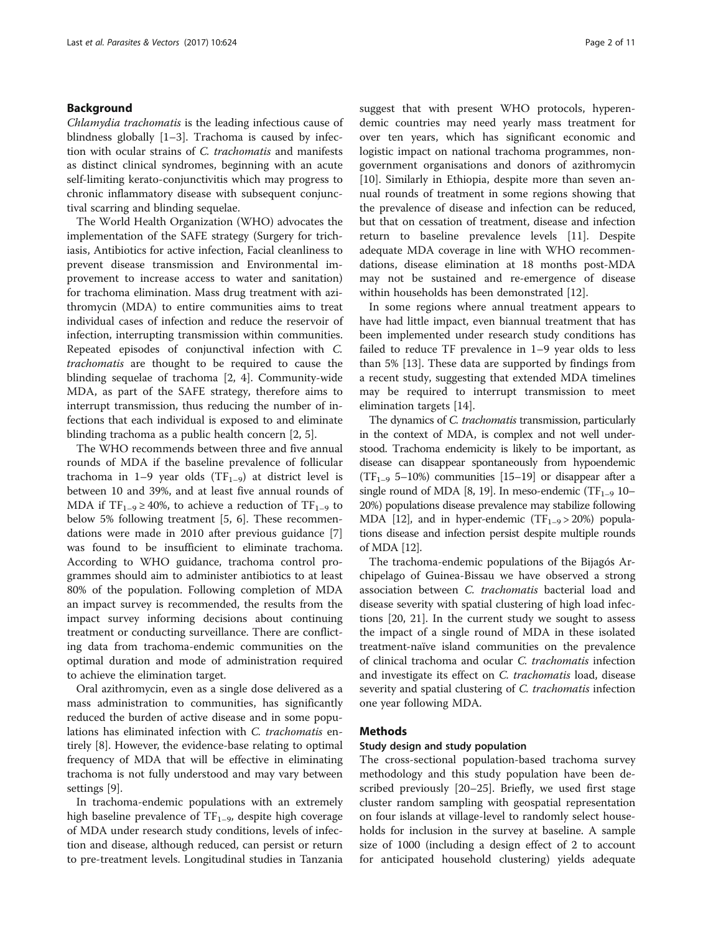# Background

Chlamydia trachomatis is the leading infectious cause of blindness globally  $[1-3]$  $[1-3]$  $[1-3]$  $[1-3]$ . Trachoma is caused by infection with ocular strains of C. trachomatis and manifests as distinct clinical syndromes, beginning with an acute self-limiting kerato-conjunctivitis which may progress to chronic inflammatory disease with subsequent conjunctival scarring and blinding sequelae.

The World Health Organization (WHO) advocates the implementation of the SAFE strategy (Surgery for trichiasis, Antibiotics for active infection, Facial cleanliness to prevent disease transmission and Environmental improvement to increase access to water and sanitation) for trachoma elimination. Mass drug treatment with azithromycin (MDA) to entire communities aims to treat individual cases of infection and reduce the reservoir of infection, interrupting transmission within communities. Repeated episodes of conjunctival infection with C. trachomatis are thought to be required to cause the blinding sequelae of trachoma [[2, 4](#page-9-0)]. Community-wide MDA, as part of the SAFE strategy, therefore aims to interrupt transmission, thus reducing the number of infections that each individual is exposed to and eliminate blinding trachoma as a public health concern [\[2](#page-9-0), [5](#page-9-0)].

The WHO recommends between three and five annual rounds of MDA if the baseline prevalence of follicular trachoma in 1–9 year olds  $(TF_{1-9})$  at district level is between 10 and 39%, and at least five annual rounds of MDA if  $TF_{1-9} \ge 40\%$ , to achieve a reduction of  $TF_{1-9}$  to below 5% following treatment [\[5](#page-9-0), [6](#page-9-0)]. These recommendations were made in 2010 after previous guidance [\[7](#page-9-0)] was found to be insufficient to eliminate trachoma. According to WHO guidance, trachoma control programmes should aim to administer antibiotics to at least 80% of the population. Following completion of MDA an impact survey is recommended, the results from the impact survey informing decisions about continuing treatment or conducting surveillance. There are conflicting data from trachoma-endemic communities on the optimal duration and mode of administration required to achieve the elimination target.

Oral azithromycin, even as a single dose delivered as a mass administration to communities, has significantly reduced the burden of active disease and in some populations has eliminated infection with C. trachomatis entirely [[8\]](#page-9-0). However, the evidence-base relating to optimal frequency of MDA that will be effective in eliminating trachoma is not fully understood and may vary between settings [[9\]](#page-9-0).

In trachoma-endemic populations with an extremely high baseline prevalence of  $TF_{1-9}$ , despite high coverage of MDA under research study conditions, levels of infection and disease, although reduced, can persist or return to pre-treatment levels. Longitudinal studies in Tanzania

suggest that with present WHO protocols, hyperendemic countries may need yearly mass treatment for over ten years, which has significant economic and logistic impact on national trachoma programmes, nongovernment organisations and donors of azithromycin [[10\]](#page-9-0). Similarly in Ethiopia, despite more than seven annual rounds of treatment in some regions showing that the prevalence of disease and infection can be reduced, but that on cessation of treatment, disease and infection return to baseline prevalence levels [[11\]](#page-9-0). Despite adequate MDA coverage in line with WHO recommendations, disease elimination at 18 months post-MDA may not be sustained and re-emergence of disease within households has been demonstrated [\[12](#page-9-0)].

In some regions where annual treatment appears to have had little impact, even biannual treatment that has been implemented under research study conditions has failed to reduce TF prevalence in 1–9 year olds to less than 5% [\[13](#page-9-0)]. These data are supported by findings from a recent study, suggesting that extended MDA timelines may be required to interrupt transmission to meet elimination targets [\[14](#page-9-0)].

The dynamics of *C. trachomatis* transmission, particularly in the context of MDA, is complex and not well understood. Trachoma endemicity is likely to be important, as disease can disappear spontaneously from hypoendemic  $(TF_{1-9} 5-10%)$  communities [[15](#page-9-0)-[19](#page-9-0)] or disappear after a single round of MDA [\[8, 19](#page-9-0)]. In meso-endemic  $(TF_{1-9} 10-$ 20%) populations disease prevalence may stabilize following MDA [\[12\]](#page-9-0), and in hyper-endemic  $(TF_{1-9} > 20%)$  populations disease and infection persist despite multiple rounds of MDA [\[12\]](#page-9-0).

The trachoma-endemic populations of the Bijagós Archipelago of Guinea-Bissau we have observed a strong association between C. trachomatis bacterial load and disease severity with spatial clustering of high load infections [[20, 21\]](#page-9-0). In the current study we sought to assess the impact of a single round of MDA in these isolated treatment-naïve island communities on the prevalence of clinical trachoma and ocular C. trachomatis infection and investigate its effect on C. trachomatis load, disease severity and spatial clustering of C. trachomatis infection one year following MDA.

# Methods

# Study design and study population

The cross-sectional population-based trachoma survey methodology and this study population have been described previously [\[20](#page-9-0)–[25\]](#page-9-0). Briefly, we used first stage cluster random sampling with geospatial representation on four islands at village-level to randomly select households for inclusion in the survey at baseline. A sample size of 1000 (including a design effect of 2 to account for anticipated household clustering) yields adequate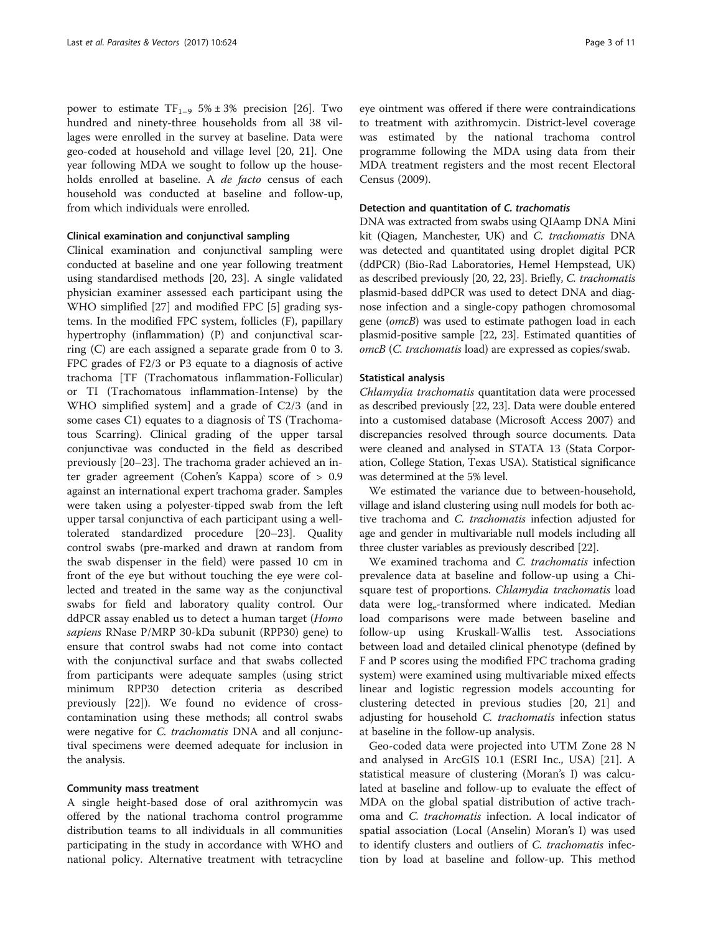power to estimate  $TF_{1-9}$  5% ± 3% precision [[26\]](#page-9-0). Two hundred and ninety-three households from all 38 villages were enrolled in the survey at baseline. Data were geo-coded at household and village level [\[20, 21](#page-9-0)]. One year following MDA we sought to follow up the households enrolled at baseline. A de facto census of each household was conducted at baseline and follow-up, from which individuals were enrolled.

# Clinical examination and conjunctival sampling

Clinical examination and conjunctival sampling were conducted at baseline and one year following treatment using standardised methods [\[20](#page-9-0), [23](#page-9-0)]. A single validated physician examiner assessed each participant using the WHO simplified [[27](#page-9-0)] and modified FPC [\[5](#page-9-0)] grading systems. In the modified FPC system, follicles (F), papillary hypertrophy (inflammation) (P) and conjunctival scarring (C) are each assigned a separate grade from 0 to 3. FPC grades of F2/3 or P3 equate to a diagnosis of active trachoma [TF (Trachomatous inflammation-Follicular) or TI (Trachomatous inflammation-Intense) by the WHO simplified system] and a grade of C2/3 (and in some cases C1) equates to a diagnosis of TS (Trachomatous Scarring). Clinical grading of the upper tarsal conjunctivae was conducted in the field as described previously [\[20](#page-9-0)–[23\]](#page-9-0). The trachoma grader achieved an inter grader agreement (Cohen's Kappa) score of > 0.9 against an international expert trachoma grader. Samples were taken using a polyester-tipped swab from the left upper tarsal conjunctiva of each participant using a welltolerated standardized procedure [\[20](#page-9-0)–[23](#page-9-0)]. Quality control swabs (pre-marked and drawn at random from the swab dispenser in the field) were passed 10 cm in front of the eye but without touching the eye were collected and treated in the same way as the conjunctival swabs for field and laboratory quality control. Our ddPCR assay enabled us to detect a human target (Homo sapiens RNase P/MRP 30-kDa subunit (RPP30) gene) to ensure that control swabs had not come into contact with the conjunctival surface and that swabs collected from participants were adequate samples (using strict minimum RPP30 detection criteria as described previously [\[22](#page-9-0)]). We found no evidence of crosscontamination using these methods; all control swabs were negative for C. trachomatis DNA and all conjunctival specimens were deemed adequate for inclusion in the analysis.

# Community mass treatment

A single height-based dose of oral azithromycin was offered by the national trachoma control programme distribution teams to all individuals in all communities participating in the study in accordance with WHO and national policy. Alternative treatment with tetracycline

eye ointment was offered if there were contraindications to treatment with azithromycin. District-level coverage was estimated by the national trachoma control programme following the MDA using data from their MDA treatment registers and the most recent Electoral Census (2009).

# Detection and quantitation of C. trachomatis

DNA was extracted from swabs using QIAamp DNA Mini kit (Qiagen, Manchester, UK) and C. trachomatis DNA was detected and quantitated using droplet digital PCR (ddPCR) (Bio-Rad Laboratories, Hemel Hempstead, UK) as described previously [\[20, 22](#page-9-0), [23\]](#page-9-0). Briefly, C. trachomatis plasmid-based ddPCR was used to detect DNA and diagnose infection and a single-copy pathogen chromosomal gene (omcB) was used to estimate pathogen load in each plasmid-positive sample [\[22, 23\]](#page-9-0). Estimated quantities of omcB (C. trachomatis load) are expressed as copies/swab.

# Statistical analysis

Chlamydia trachomatis quantitation data were processed as described previously [\[22, 23](#page-9-0)]. Data were double entered into a customised database (Microsoft Access 2007) and discrepancies resolved through source documents. Data were cleaned and analysed in STATA 13 (Stata Corporation, College Station, Texas USA). Statistical significance was determined at the 5% level.

We estimated the variance due to between-household, village and island clustering using null models for both active trachoma and C. trachomatis infection adjusted for age and gender in multivariable null models including all three cluster variables as previously described [[22](#page-9-0)].

We examined trachoma and C. trachomatis infection prevalence data at baseline and follow-up using a Chisquare test of proportions. Chlamydia trachomatis load data were log<sub>e</sub>-transformed where indicated. Median load comparisons were made between baseline and follow-up using Kruskall-Wallis test. Associations between load and detailed clinical phenotype (defined by F and P scores using the modified FPC trachoma grading system) were examined using multivariable mixed effects linear and logistic regression models accounting for clustering detected in previous studies [[20](#page-9-0), [21\]](#page-9-0) and adjusting for household C. trachomatis infection status at baseline in the follow-up analysis.

Geo-coded data were projected into UTM Zone 28 N and analysed in ArcGIS 10.1 (ESRI Inc., USA) [[21\]](#page-9-0). A statistical measure of clustering (Moran's I) was calculated at baseline and follow-up to evaluate the effect of MDA on the global spatial distribution of active trachoma and C. trachomatis infection. A local indicator of spatial association (Local (Anselin) Moran's I) was used to identify clusters and outliers of C. trachomatis infection by load at baseline and follow-up. This method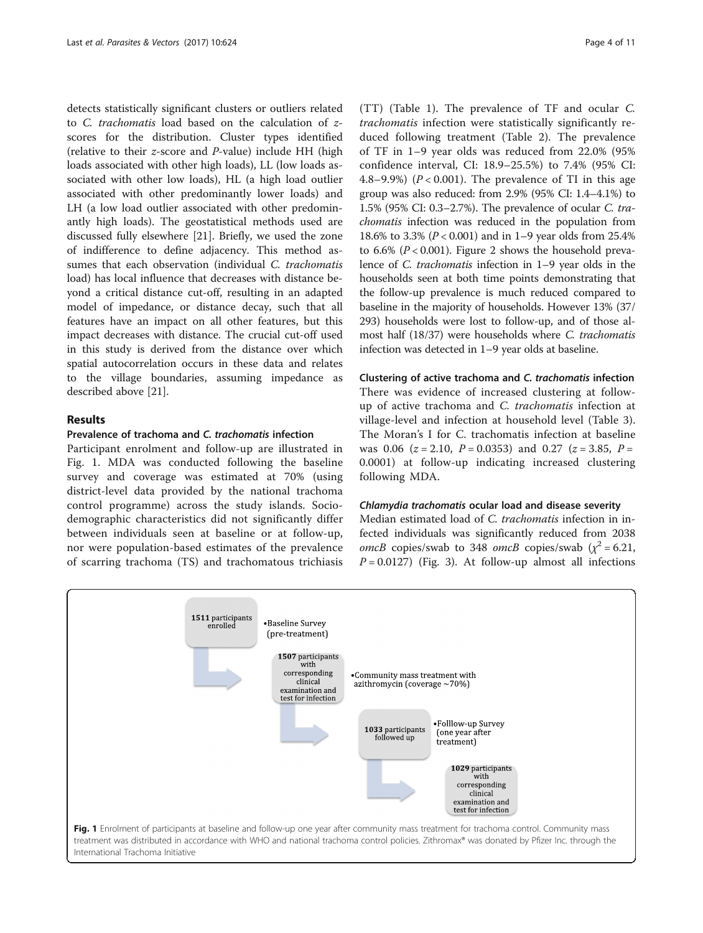detects statistically significant clusters or outliers related to C. trachomatis load based on the calculation of zscores for the distribution. Cluster types identified (relative to their  $z$ -score and  $P$ -value) include HH (high loads associated with other high loads), LL (low loads associated with other low loads), HL (a high load outlier associated with other predominantly lower loads) and LH (a low load outlier associated with other predominantly high loads). The geostatistical methods used are discussed fully elsewhere [[21\]](#page-9-0). Briefly, we used the zone of indifference to define adjacency. This method assumes that each observation (individual C. trachomatis load) has local influence that decreases with distance beyond a critical distance cut-off, resulting in an adapted model of impedance, or distance decay, such that all features have an impact on all other features, but this impact decreases with distance. The crucial cut-off used in this study is derived from the distance over which spatial autocorrelation occurs in these data and relates to the village boundaries, assuming impedance as described above [[21\]](#page-9-0).

# Results

# Prevalence of trachoma and C. trachomatis infection

Participant enrolment and follow-up are illustrated in Fig. 1. MDA was conducted following the baseline survey and coverage was estimated at 70% (using district-level data provided by the national trachoma control programme) across the study islands. Sociodemographic characteristics did not significantly differ between individuals seen at baseline or at follow-up, nor were population-based estimates of the prevalence of scarring trachoma (TS) and trachomatous trichiasis

(TT) (Table [1](#page-4-0)). The prevalence of TF and ocular C. trachomatis infection were statistically significantly reduced following treatment (Table [2\)](#page-4-0). The prevalence of TF in 1–9 year olds was reduced from 22.0% (95% confidence interval, CI: 18.9–25.5%) to 7.4% (95% CI: 4.8–9.9%) ( $P < 0.001$ ). The prevalence of TI in this age group was also reduced: from 2.9% (95% CI: 1.4–4.1%) to 1.5% (95% CI: 0.3–2.7%). The prevalence of ocular C. trachomatis infection was reduced in the population from 18.6% to 3.3% (P < 0.001) and in 1–9 year olds from 25.4% to 6.6% ( $P < 0.001$ ). Figure [2](#page-5-0) shows the household prevalence of C. trachomatis infection in 1–9 year olds in the households seen at both time points demonstrating that the follow-up prevalence is much reduced compared to baseline in the majority of households. However 13% (37/ 293) households were lost to follow-up, and of those almost half (18/37) were households where C. trachomatis infection was detected in 1–9 year olds at baseline.

# Clustering of active trachoma and C. trachomatis infection

There was evidence of increased clustering at followup of active trachoma and C. trachomatis infection at village-level and infection at household level (Table [3](#page-5-0)). The Moran's I for C. trachomatis infection at baseline was 0.06 ( $z = 2.10$ ,  $P = 0.0353$ ) and 0.27 ( $z = 3.85$ ,  $P =$ 0.0001) at follow-up indicating increased clustering following MDA.

# Chlamydia trachomatis ocular load and disease severity

Median estimated load of C. trachomatis infection in infected individuals was significantly reduced from 2038 *omcB* copies/swab to 348 *omcB* copies/swab ( $\chi^2$  = 6.21,  $P = 0.0127$ ) (Fig. [3](#page-6-0)). At follow-up almost all infections

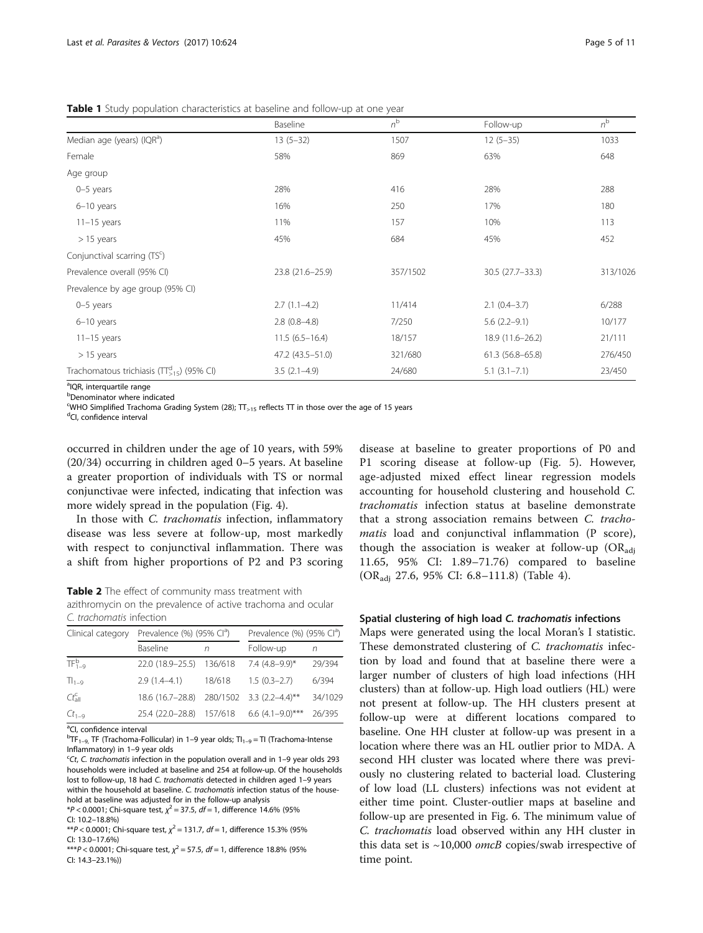<span id="page-4-0"></span>Table 1 Study population characteristics at baseline and follow-up at one year

|                                                 | Baseline           | $n^{\rm b}$ | Follow-up           | $n^{\rm b}$ |
|-------------------------------------------------|--------------------|-------------|---------------------|-------------|
| Median age (years) (IQR <sup>a</sup> )          | $13(5-32)$         | 1507        | $12(5-35)$          | 1033        |
| Female                                          | 58%                | 869         | 63%                 | 648         |
| Age group                                       |                    |             |                     |             |
| $0-5$ years                                     | 28%                | 416         | 28%                 | 288         |
| $6-10$ years                                    | 16%                | 250         | 17%                 | 180         |
| $11-15$ years                                   | 11%                | 157         | 10%                 | 113         |
| $>15$ years                                     | 45%                | 684         | 45%                 | 452         |
| Conjunctival scarring (TS <sup>c</sup> )        |                    |             |                     |             |
| Prevalence overall (95% CI)                     | 23.8 (21.6-25.9)   | 357/1502    | 30.5 (27.7-33.3)    | 313/1026    |
| Prevalence by age group (95% CI)                |                    |             |                     |             |
| $0-5$ years                                     | $2.7(1.1-4.2)$     | 11/414      | $2.1(0.4-3.7)$      | 6/288       |
| $6-10$ years                                    | $2.8(0.8-4.8)$     | 7/250       | $5.6(2.2-9.1)$      | 10/177      |
| $11-15$ years                                   | $11.5(6.5 - 16.4)$ | 18/157      | 18.9 (11.6-26.2)    | 21/111      |
| $>15$ years                                     | 47.2 (43.5 - 51.0) | 321/680     | $61.3(56.8 - 65.8)$ | 276/450     |
| Trachomatous trichiasis $(TT_{>15}^d)$ (95% CI) | $3.5(2.1-4.9)$     | 24/680      | $5.1(3.1 - 7.1)$    | 23/450      |
| $2x - 1$ $x - 1$ $y - 1$                        |                    |             |                     |             |

<sup>a</sup>IQR, interquartile range b Denominator where indicated

<sup>C</sup>WHO Simplified Trachoma Grading System (28); TT<sub>>15</sub> reflects TT in those over the age of 15 years <sup>d</sup>CL confidence interval

<sup>d</sup>CI, confidence interval

occurred in children under the age of 10 years, with 59% (20/34) occurring in children aged 0–5 years. At baseline a greater proportion of individuals with TS or normal conjunctivae were infected, indicating that infection was more widely spread in the population (Fig. [4\)](#page-6-0).

In those with *C. trachomatis* infection, inflammatory disease was less severe at follow-up, most markedly with respect to conjunctival inflammation. There was a shift from higher proportions of P2 and P3 scoring

Table 2 The effect of community mass treatment with azithromycin on the prevalence of active trachoma and ocular C. trachomatis infection

| Clinical category       | Prevalence (%) (95% Cl <sup>a</sup> )     |         | Prevalence (%) (95% Cl <sup>a</sup> ) |         |  |
|-------------------------|-------------------------------------------|---------|---------------------------------------|---------|--|
|                         | Baseline                                  | n       | Follow-up                             | n       |  |
| $TF_{1-9}^b$            | 22.0 (18.9-25.5)                          | 136/618 | 7.4 $(4.8-9.9)^*$                     | 29/394  |  |
| $T _{1-\Omega}$         | $2.9(1.4-4.1)$                            | 18/618  | $1.5(0.3-2.7)$                        | 6/394   |  |
| $C t_{\rm all}^{\rm c}$ | 18.6 (16.7-28.8) 280/1502 3.3 (2.2-4.4)** |         |                                       | 34/1029 |  |
| $Ct_{1-9}$              | 25.4 (22.0-28.8)                          | 157/618 | 6.6 $(4.1-9.0)$ ***                   | 26/395  |  |

<sup>a</sup>CI, confidence interval

<sup>b</sup>TF<sub>1–9,</sub> TF (Trachoma-Follicular) in 1–9 year olds; TI<sub>1–9</sub> = TI (Trachoma-Intense Inflammatory) in 1–9 year olds <sup>c</sup>

<sup>C</sup>Ct, C. trachomatis infection in the population overall and in 1–9 year olds 293 households were included at baseline and 254 at follow-up. Of the households lost to follow-up, 18 had C. trachomatis detected in children aged 1–9 years within the household at baseline. C. trachomatis infection status of the household at baseline was adjusted for in the follow-up analysis

 $*P < 0.0001$ ; Chi-square test,  $\chi^2 = 37.5$ , df = 1, difference 14.6% (95%) CI: 10.2–18.8%)

 $*p < 0.0001$ ; Chi-square test,  $\chi^2 = 131.7$ , df = 1, difference 15.3% (95%) CI: 13.0–17.6%)

\*\*\*P < 0.0001; Chi-square test,  $\chi^2$  = 57.5, df = 1, difference 18.8% (95%) CI: 14.3–23.1%))

disease at baseline to greater proportions of P0 and P1 scoring disease at follow-up (Fig. [5](#page-7-0)). However, age-adjusted mixed effect linear regression models accounting for household clustering and household C. trachomatis infection status at baseline demonstrate that a strong association remains between C. trachomatis load and conjunctival inflammation (P score), though the association is weaker at follow-up  $(OR_{\text{adj}})$ 11.65, 95% CI: 1.89–71.76) compared to baseline (ORadj 27.6, 95% CI: 6.8–111.8) (Table [4](#page-7-0)).

#### Spatial clustering of high load C. trachomatis infections

Maps were generated using the local Moran's I statistic. These demonstrated clustering of C. trachomatis infection by load and found that at baseline there were a larger number of clusters of high load infections (HH clusters) than at follow-up. High load outliers (HL) were not present at follow-up. The HH clusters present at follow-up were at different locations compared to baseline. One HH cluster at follow-up was present in a location where there was an HL outlier prior to MDA. A second HH cluster was located where there was previously no clustering related to bacterial load. Clustering of low load (LL clusters) infections was not evident at either time point. Cluster-outlier maps at baseline and follow-up are presented in Fig. [6.](#page-8-0) The minimum value of C. trachomatis load observed within any HH cluster in this data set is  $\sim$ 10,000 *omcB* copies/swab irrespective of time point.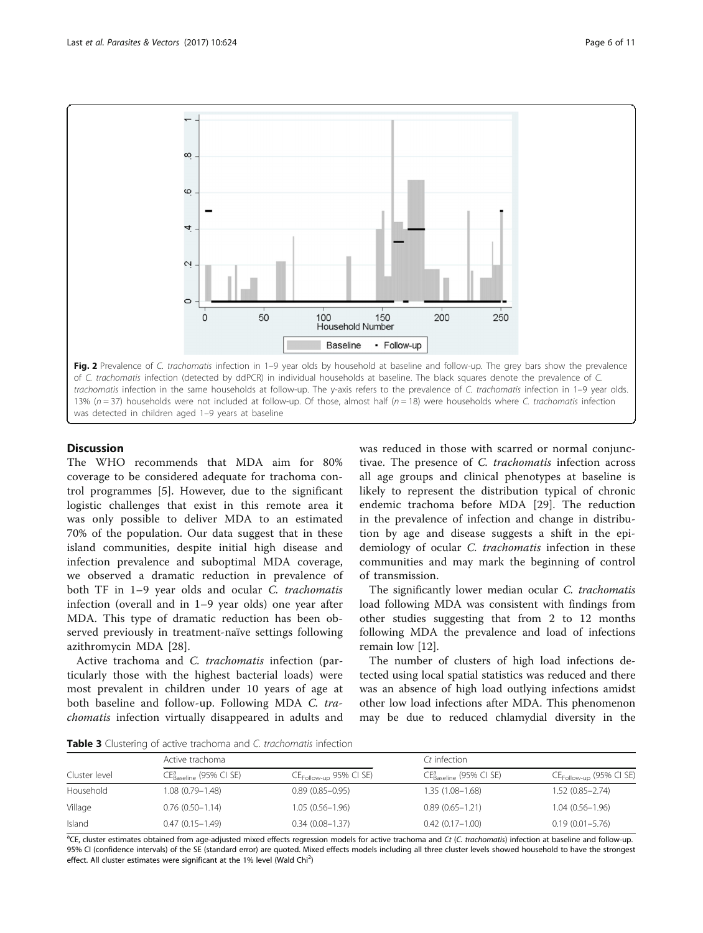<span id="page-5-0"></span>

# **Discussion**

The WHO recommends that MDA aim for 80% coverage to be considered adequate for trachoma control programmes [[5\]](#page-9-0). However, due to the significant logistic challenges that exist in this remote area it was only possible to deliver MDA to an estimated 70% of the population. Our data suggest that in these island communities, despite initial high disease and infection prevalence and suboptimal MDA coverage, we observed a dramatic reduction in prevalence of both TF in 1–9 year olds and ocular C. trachomatis infection (overall and in 1–9 year olds) one year after MDA. This type of dramatic reduction has been observed previously in treatment-naïve settings following azithromycin MDA [[28\]](#page-9-0).

Active trachoma and C. trachomatis infection (particularly those with the highest bacterial loads) were most prevalent in children under 10 years of age at both baseline and follow-up. Following MDA C. trachomatis infection virtually disappeared in adults and was reduced in those with scarred or normal conjunctivae. The presence of C. trachomatis infection across all age groups and clinical phenotypes at baseline is likely to represent the distribution typical of chronic endemic trachoma before MDA [\[29](#page-9-0)]. The reduction in the prevalence of infection and change in distribution by age and disease suggests a shift in the epidemiology of ocular C. trachomatis infection in these communities and may mark the beginning of control of transmission.

The significantly lower median ocular C. trachomatis load following MDA was consistent with findings from other studies suggesting that from 2 to 12 months following MDA the prevalence and load of infections remain low [[12\]](#page-9-0).

The number of clusters of high load infections detected using local spatial statistics was reduced and there was an absence of high load outlying infections amidst other low load infections after MDA. This phenomenon may be due to reduced chlamydial diversity in the

**Table 3** Clustering of active trachoma and C. trachomatis infection

|               | Active trachoma           |                                    | Ct infection                       |                                     |  |
|---------------|---------------------------|------------------------------------|------------------------------------|-------------------------------------|--|
| Cluster level | $CEaBaseline$ (95% CI SE) | CE <sub>Follow-up</sub> 95% CI SE) | CE <sub>Baseline</sub> (95% CI SE) | CE <sub>Follow-up</sub> (95% CI SE) |  |
| Household     | 1.08 (0.79-1.48)          | $0.89(0.85 - 0.95)$                | 1.35 (1.08-1.68)                   | $1.52(0.85 - 2.74)$                 |  |
| Village       | $0.76(0.50 - 1.14)$       | $1.05(0.56 - 1.96)$                | $0.89(0.65 - 1.21)$                | $1.04(0.56 - 1.96)$                 |  |
| Island        | $0.47(0.15 - 1.49)$       | $0.34(0.08 - 1.37)$                | $0.42(0.17 - 1.00)$                | $0.19(0.01 - 5.76)$                 |  |

<sup>a</sup>CE, cluster estimates obtained from age-adjusted mixed effects regression models for active trachoma and Ct (C. trachomatis) infection at baseline and follow-up. 95% CI (confidence intervals) of the SE (standard error) are quoted. Mixed effects models including all three cluster levels showed household to have the strongest effect. All cluster estimates were significant at the 1% level (Wald Chi<sup>2</sup>)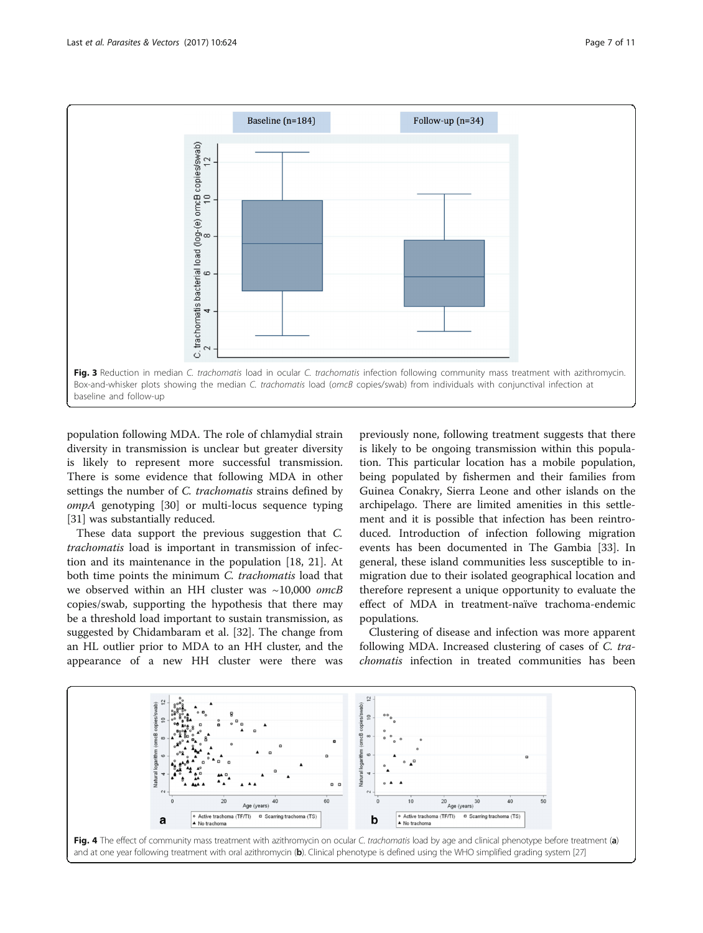<span id="page-6-0"></span>

population following MDA. The role of chlamydial strain diversity in transmission is unclear but greater diversity is likely to represent more successful transmission. There is some evidence that following MDA in other settings the number of C. trachomatis strains defined by ompA genotyping [\[30](#page-9-0)] or multi-locus sequence typing [[31\]](#page-10-0) was substantially reduced.

These data support the previous suggestion that C. trachomatis load is important in transmission of infection and its maintenance in the population [\[18](#page-9-0), [21](#page-9-0)]. At both time points the minimum C. trachomatis load that we observed within an HH cluster was ~10,000 omcB copies/swab, supporting the hypothesis that there may be a threshold load important to sustain transmission, as suggested by Chidambaram et al. [[32](#page-10-0)]. The change from an HL outlier prior to MDA to an HH cluster, and the appearance of a new HH cluster were there was

previously none, following treatment suggests that there is likely to be ongoing transmission within this population. This particular location has a mobile population, being populated by fishermen and their families from Guinea Conakry, Sierra Leone and other islands on the archipelago. There are limited amenities in this settlement and it is possible that infection has been reintroduced. Introduction of infection following migration events has been documented in The Gambia [[33](#page-10-0)]. In general, these island communities less susceptible to inmigration due to their isolated geographical location and therefore represent a unique opportunity to evaluate the effect of MDA in treatment-naïve trachoma-endemic populations.

Clustering of disease and infection was more apparent following MDA. Increased clustering of cases of C. trachomatis infection in treated communities has been

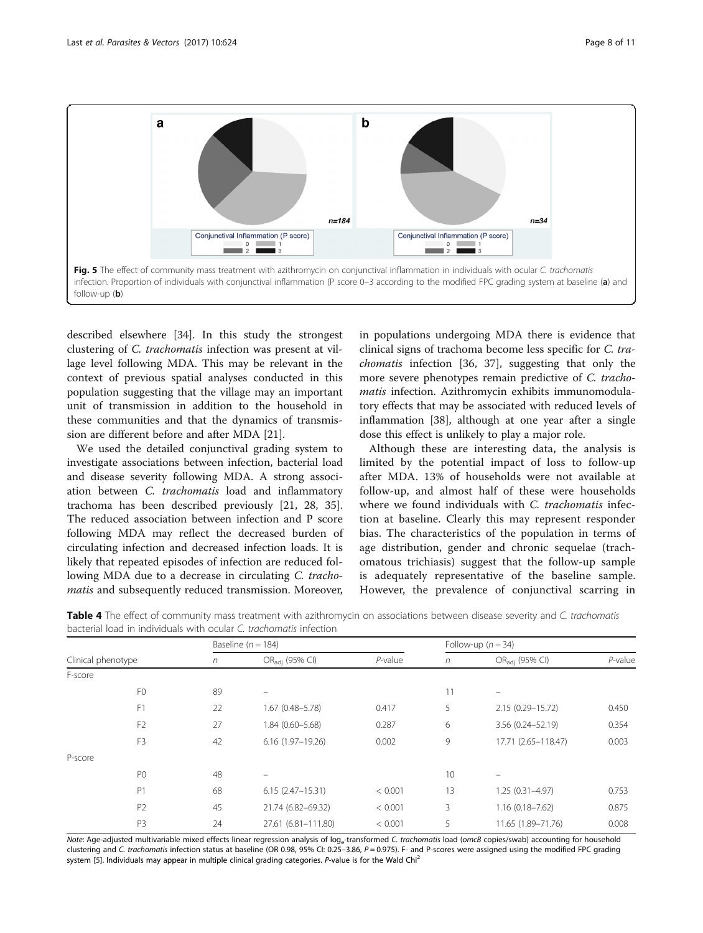<span id="page-7-0"></span>

described elsewhere [\[34](#page-10-0)]. In this study the strongest clustering of C. trachomatis infection was present at village level following MDA. This may be relevant in the context of previous spatial analyses conducted in this population suggesting that the village may an important unit of transmission in addition to the household in these communities and that the dynamics of transmission are different before and after MDA [\[21](#page-9-0)].

We used the detailed conjunctival grading system to investigate associations between infection, bacterial load and disease severity following MDA. A strong association between C. trachomatis load and inflammatory trachoma has been described previously [\[21, 28,](#page-9-0) [35](#page-10-0)]. The reduced association between infection and P score following MDA may reflect the decreased burden of circulating infection and decreased infection loads. It is likely that repeated episodes of infection are reduced following MDA due to a decrease in circulating C. trachomatis and subsequently reduced transmission. Moreover, in populations undergoing MDA there is evidence that clinical signs of trachoma become less specific for C. trachomatis infection [\[36](#page-10-0), [37](#page-10-0)], suggesting that only the more severe phenotypes remain predictive of C. trachomatis infection. Azithromycin exhibits immunomodulatory effects that may be associated with reduced levels of inflammation [[38](#page-10-0)], although at one year after a single dose this effect is unlikely to play a major role.

Although these are interesting data, the analysis is limited by the potential impact of loss to follow-up after MDA. 13% of households were not available at follow-up, and almost half of these were households where we found individuals with C. trachomatis infection at baseline. Clearly this may represent responder bias. The characteristics of the population in terms of age distribution, gender and chronic sequelae (trachomatous trichiasis) suggest that the follow-up sample is adequately representative of the baseline sample. However, the prevalence of conjunctival scarring in

|                    |                | Baseline ( $n = 184$ ) |                            |            | Follow-up ( $n = 34$ ) |                            |            |
|--------------------|----------------|------------------------|----------------------------|------------|------------------------|----------------------------|------------|
| Clinical phenotype |                | n                      | OR <sub>adi</sub> (95% CI) | $P$ -value | n                      | OR <sub>adi</sub> (95% CI) | $P$ -value |
| F-score            |                |                        |                            |            |                        |                            |            |
|                    | F <sub>0</sub> | 89                     | -                          |            | 11                     |                            |            |
|                    | F1             | 22                     | $1.67(0.48 - 5.78)$        | 0.417      | 5                      | 2.15 (0.29-15.72)          | 0.450      |
|                    | F <sub>2</sub> | 27                     | $1.84(0.60 - 5.68)$        | 0.287      | 6                      | 3.56 (0.24-52.19)          | 0.354      |
|                    | F3             | 42                     | $6.16(1.97-19.26)$         | 0.002      | 9                      | 17.71 (2.65-118.47)        | 0.003      |
| P-score            |                |                        |                            |            |                        |                            |            |
|                    | P <sub>0</sub> | 48                     |                            |            | 10                     |                            |            |
|                    | P1             | 68                     | $6.15(2.47 - 15.31)$       | < 0.001    | 13                     | $1.25(0.31 - 4.97)$        | 0.753      |
|                    | P <sub>2</sub> | 45                     | 21.74 (6.82-69.32)         | < 0.001    | 3                      | $1.16(0.18 - 7.62)$        | 0.875      |
|                    | P <sub>3</sub> | 24                     | 27.61 (6.81-111.80)        | < 0.001    | 5                      | 11.65 (1.89-71.76)         | 0.008      |

Table 4 The effect of community mass treatment with azithromycin on associations between disease severity and C. trachomatis bacterial load in individuals with ocular C. trachomatis infection

Note: Age-adjusted multivariable mixed effects linear regression analysis of log<sub>e</sub>-transformed C. trachomatis load (omcB copies/swab) accounting for household clustering and C. trachomatis infection status at baseline (OR 0.98, 95% CI: 0.25-3.86, P = 0.975). F- and P-scores were assigned using the modified FPC grading system [\[5\]](#page-9-0). Individuals may appear in multiple clinical grading categories. P-value is for the Wald Chi<sup>2</sup>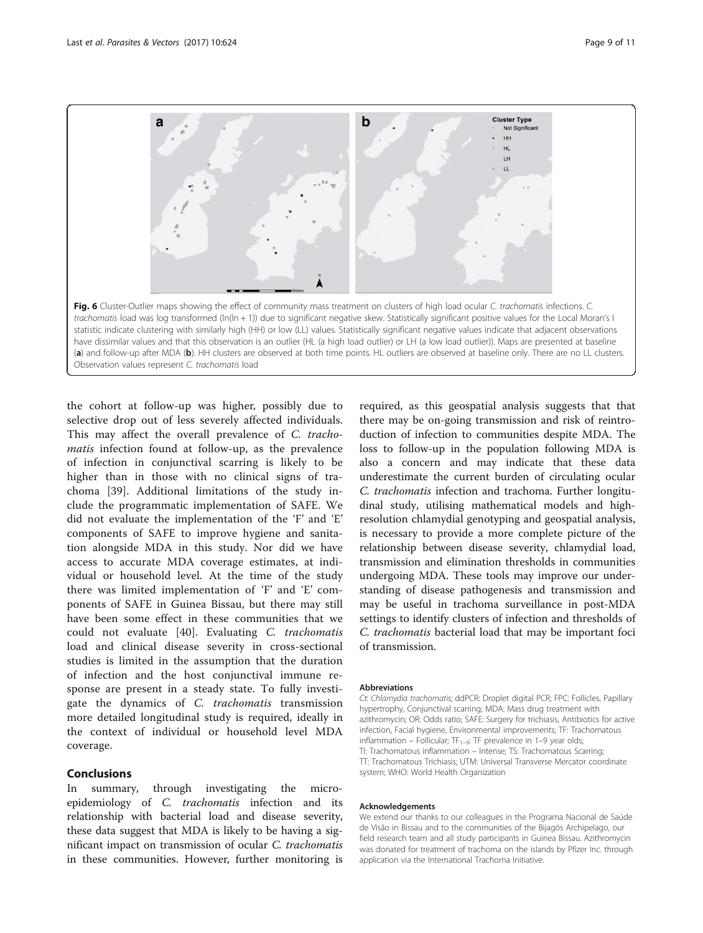<span id="page-8-0"></span>

the cohort at follow-up was higher, possibly due to selective drop out of less severely affected individuals. This may affect the overall prevalence of C. trachomatis infection found at follow-up, as the prevalence of infection in conjunctival scarring is likely to be higher than in those with no clinical signs of trachoma [[39\]](#page-10-0). Additional limitations of the study include the programmatic implementation of SAFE. We did not evaluate the implementation of the 'F' and 'E' components of SAFE to improve hygiene and sanitation alongside MDA in this study. Nor did we have access to accurate MDA coverage estimates, at individual or household level. At the time of the study there was limited implementation of 'F' and 'E' components of SAFE in Guinea Bissau, but there may still have been some effect in these communities that we could not evaluate [\[40](#page-10-0)]. Evaluating C. trachomatis load and clinical disease severity in cross-sectional studies is limited in the assumption that the duration of infection and the host conjunctival immune response are present in a steady state. To fully investigate the dynamics of C. trachomatis transmission more detailed longitudinal study is required, ideally in the context of individual or household level MDA coverage.

# Conclusions

In summary, through investigating the microepidemiology of C. trachomatis infection and its relationship with bacterial load and disease severity, these data suggest that MDA is likely to be having a significant impact on transmission of ocular C. trachomatis in these communities. However, further monitoring is

required, as this geospatial analysis suggests that that there may be on-going transmission and risk of reintroduction of infection to communities despite MDA. The loss to follow-up in the population following MDA is also a concern and may indicate that these data underestimate the current burden of circulating ocular C. trachomatis infection and trachoma. Further longitudinal study, utilising mathematical models and highresolution chlamydial genotyping and geospatial analysis, is necessary to provide a more complete picture of the relationship between disease severity, chlamydial load, transmission and elimination thresholds in communities undergoing MDA. These tools may improve our understanding of disease pathogenesis and transmission and may be useful in trachoma surveillance in post-MDA settings to identify clusters of infection and thresholds of C. trachomatis bacterial load that may be important foci of transmission.

# Abbreviations

Ct: Chlamydia trachomatis; ddPCR: Droplet digital PCR; FPC: Follicles, Papillary hypertrophy, Conjunctival scarring; MDA: Mass drug treatment with azithromycin; OR: Odds ratio; SAFE: Surgery for trichiasis, Antibiotics for active infection, Facial hygiene, Environmental improvements; TF: Trachomatous inflammation – Follicular; TF<sub>1-9</sub>: TF prevalence in 1–9 year olds; TI: Trachomatous inflammation – Intense; TS: Trachomatous Scarring; TT: Trachomatous Trichiasis; UTM: Universal Transverse Mercator coordinate system; WHO: World Health Organization

#### Acknowledgements

We extend our thanks to our colleagues in the Programa Nacional de Saúde de Visão in Bissau and to the communities of the Bijagós Archipelago, our field research team and all study participants in Guinea Bissau. Azithromycin was donated for treatment of trachoma on the islands by Pfizer Inc. through application via the International Trachoma Initiative.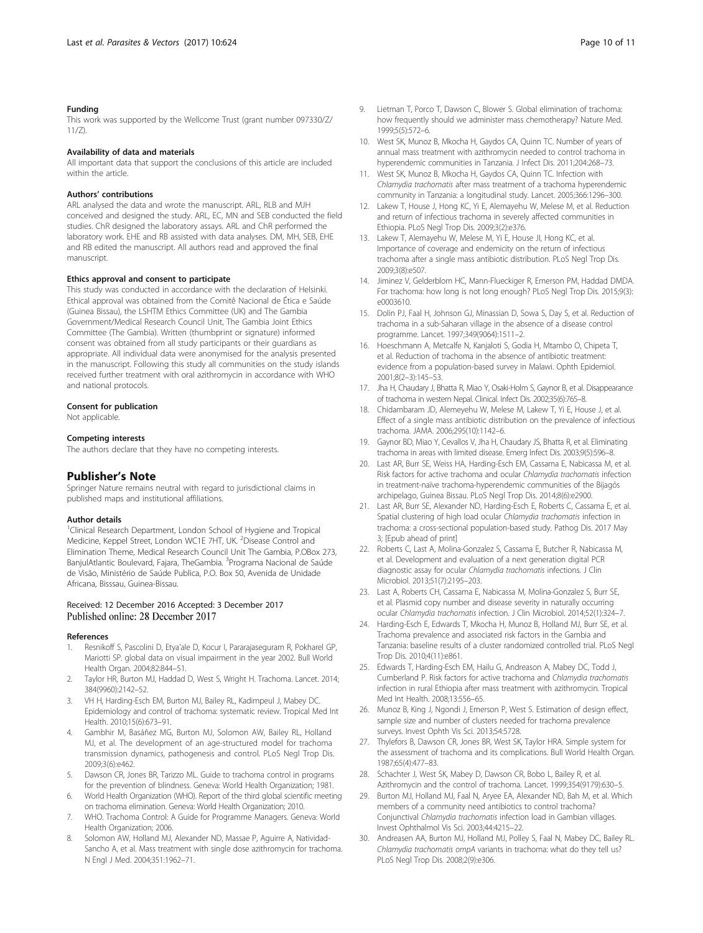#### <span id="page-9-0"></span>Funding

This work was supported by the Wellcome Trust (grant number 097330/Z/ 11/Z).

#### Availability of data and materials

All important data that support the conclusions of this article are included within the article.

#### Authors' contributions

ARL analysed the data and wrote the manuscript. ARL, RLB and MJH conceived and designed the study. ARL, EC, MN and SEB conducted the field studies. ChR designed the laboratory assays. ARL and ChR performed the laboratory work. EHE and RB assisted with data analyses. DM, MH, SEB, EHE and RB edited the manuscript. All authors read and approved the final manuscript.

#### Ethics approval and consent to participate

This study was conducted in accordance with the declaration of Helsinki. Ethical approval was obtained from the Comitê Nacional de Ética e Saúde (Guinea Bissau), the LSHTM Ethics Committee (UK) and The Gambia Government/Medical Research Council Unit, The Gambia Joint Ethics Committee (The Gambia). Written (thumbprint or signature) informed consent was obtained from all study participants or their guardians as appropriate. All individual data were anonymised for the analysis presented in the manuscript. Following this study all communities on the study islands received further treatment with oral azithromycin in accordance with WHO and national protocols.

#### Consent for publication

Not applicable.

#### Competing interests

The authors declare that they have no competing interests.

# Publisher's Note

Springer Nature remains neutral with regard to jurisdictional claims in published maps and institutional affiliations.

#### Author details

<sup>1</sup>Clinical Research Department, London School of Hygiene and Tropical Medicine, Keppel Street, London WC1E 7HT, UK. <sup>2</sup>Disease Control and Elimination Theme, Medical Research Council Unit The Gambia, P.OBox 273, BanjulAtlantic Boulevard, Fajara, TheGambia. <sup>3</sup>Programa Nacional de Saúde de Visão, Ministério de Saúde Publica, P.O. Box 50, Avenida de Unidade Africana, Bisssau, Guinea-Bissau.

# Received: 12 December 2016 Accepted: 3 December 2017 Published online: 28 December 2017

#### References

- 1. Resnikoff S, Pascolini D, Etya'ale D, Kocur I, Pararajaseguram R, Pokharel GP, Mariotti SP. global data on visual impairment in the year 2002. Bull World Health Organ. 2004;82:844–51.
- 2. Taylor HR, Burton MJ, Haddad D, West S, Wright H. Trachoma. Lancet. 2014; 384(9960):2142–52.
- 3. VH H, Harding-Esch EM, Burton MJ, Bailey RL, Kadimpeul J, Mabey DC. Epidemiology and control of trachoma: systematic review. Tropical Med Int Health. 2010;15(6):673–91.
- 4. Gambhir M, Basáñez MG, Burton MJ, Solomon AW, Bailey RL, Holland MJ, et al. The development of an age-structured model for trachoma transmission dynamics, pathogenesis and control. PLoS Negl Trop Dis. 2009;3(6):e462.
- 5. Dawson CR, Jones BR, Tarizzo ML. Guide to trachoma control in programs for the prevention of blindness. Geneva: World Health Organization; 1981.
- 6. World Health Organization (WHO). Report of the third global scientific meeting on trachoma elimination. Geneva: World Health Organization; 2010.
- 7. WHO. Trachoma Control: A Guide for Programme Managers. Geneva: World Health Organization; 2006.
- Solomon AW, Holland MJ, Alexander ND, Massae P, Aguirre A, Natividad-Sancho A, et al. Mass treatment with single dose azithromycin for trachoma. N Engl J Med. 2004;351:1962–71.
- 9. Lietman T, Porco T, Dawson C, Blower S. Global elimination of trachoma: how frequently should we administer mass chemotherapy? Nature Med. 1999;5(5):572–6.
- 10. West SK, Munoz B, Mkocha H, Gaydos CA, Quinn TC. Number of years of annual mass treatment with azithromycin needed to control trachoma in hyperendemic communities in Tanzania. J Infect Dis. 2011;204:268–73.
- 11. West SK, Munoz B, Mkocha H, Gaydos CA, Quinn TC. Infection with Chlamydia trachomatis after mass treatment of a trachoma hyperendemic community in Tanzania: a longitudinal study. Lancet. 2005;366:1296–300.
- 12. Lakew T, House J, Hong KC, Yi E, Alemayehu W, Melese M, et al. Reduction and return of infectious trachoma in severely affected communities in Ethiopia. PLoS Negl Trop Dis. 2009;3(2):e376.
- 13. Lakew T, Alemayehu W, Melese M, Yi E, House JI, Hong KC, et al. Importance of coverage and endemicity on the return of infectious trachoma after a single mass antibiotic distribution. PLoS Negl Trop Dis. 2009;3(8):e507.
- 14. Jiminez V, Gelderblom HC, Mann-Flueckiger R, Emerson PM, Haddad DMDA. For trachoma: how long is not long enough? PLoS Negl Trop Dis. 2015;9(3): e0003610.
- 15. Dolin PJ, Faal H, Johnson GJ, Minassian D, Sowa S, Day S, et al. Reduction of trachoma in a sub-Saharan village in the absence of a disease control programme. Lancet. 1997;349(9064):1511–2.
- 16. Hoeschmann A, Metcalfe N, Kanjaloti S, Godia H, Mtambo O, Chipeta T, et al. Reduction of trachoma in the absence of antibiotic treatment: evidence from a population-based survey in Malawi. Ophth Epidemiol. 2001;8(2–3):145–53.
- 17. Jha H, Chaudary J, Bhatta R, Miao Y, Osaki-Holm S, Gaynor B, et al. Disappearance of trachoma in western Nepal. Clinical. Infect Dis. 2002;35(6):765–8.
- 18. Chidambaram JD, Alemeyehu W, Melese M, Lakew T, Yi E, House J, et al. Effect of a single mass antibiotic distribution on the prevalence of infectious trachoma. JAMA. 2006;295(10):1142–6.
- 19. Gaynor BD, Miao Y, Cevallos V, Jha H, Chaudary JS, Bhatta R, et al. Eliminating trachoma in areas with limited disease. Emerg Infect Dis. 2003;9(5):596–8.
- 20. Last AR, Burr SE, Weiss HA, Harding-Esch EM, Cassama E, Nabicassa M, et al. Risk factors for active trachoma and ocular Chlamydia trachomatis infection in treatment-naïve trachoma-hyperendemic communities of the Bijagós archipelago, Guinea Bissau. PLoS Negl Trop Dis. 2014;8(6):e2900.
- 21. Last AR, Burr SE, Alexander ND, Harding-Esch E, Roberts C, Cassama E, et al. Spatial clustering of high load ocular Chlamydia trachomatis infection in trachoma: a cross-sectional population-based study. Pathog Dis. 2017 May 3; [Epub ahead of print]
- 22. Roberts C, Last A, Molina-Gonzalez S, Cassama E, Butcher R, Nabicassa M, et al. Development and evaluation of a next generation digital PCR diagnostic assay for ocular Chlamydia trachomatis infections. J Clin Microbiol. 2013;51(7):2195–203.
- 23. Last A, Roberts CH, Cassama E, Nabicassa M, Molina-Gonzalez S, Burr SE, et al. Plasmid copy number and disease severity in naturally occurring ocular Chlamydia trachomatis infection. J Clin Microbiol. 2014;52(1):324–7.
- 24. Harding-Esch E, Edwards T, Mkocha H, Munoz B, Holland MJ, Burr SE, et al. Trachoma prevalence and associated risk factors in the Gambia and Tanzania: baseline results of a cluster randomized controlled trial. PLoS Negl Trop Dis. 2010;4(11):e861.
- 25. Edwards T, Harding-Esch EM, Hailu G, Andreason A, Mabey DC, Todd J, Cumberland P. Risk factors for active trachoma and Chlamydia trachomatis infection in rural Ethiopia after mass treatment with azithromycin. Tropical Med Int Health. 2008;13:556–65.
- 26. Munoz B, King J, Ngondi J, Emerson P, West S. Estimation of design effect, sample size and number of clusters needed for trachoma prevalence surveys. Invest Ophth Vis Sci. 2013;54:5728.
- 27. Thylefors B, Dawson CR, Jones BR, West SK, Taylor HRA. Simple system for the assessment of trachoma and its complications. Bull World Health Organ. 1987;65(4):477–83.
- 28. Schachter J, West SK, Mabey D, Dawson CR, Bobo L, Bailey R, et al. Azithromycin and the control of trachoma. Lancet. 1999;354(9179):630–5.
- 29. Burton MJ, Holland MJ, Faal N, Aryee EA, Alexander ND, Bah M, et al. Which members of a community need antibiotics to control trachoma? Conjunctival Chlamydia trachomatis infection load in Gambian villages. Invest Ophthalmol Vis Sci. 2003;44:4215–22.
- 30. Andreasen AA, Burton MJ, Holland MJ, Polley S, Faal N, Mabey DC, Bailey RL. Chlamydia trachomatis ompA variants in trachoma: what do they tell us? PLoS Negl Trop Dis. 2008;2(9):e306.